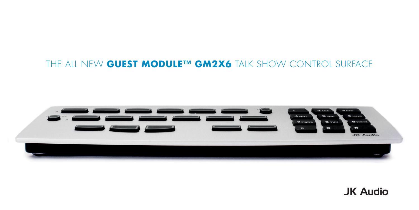# THE ALL NEW **GUEST MODULE™ GM2X6** TALK SHOW CONTROL SURFACE



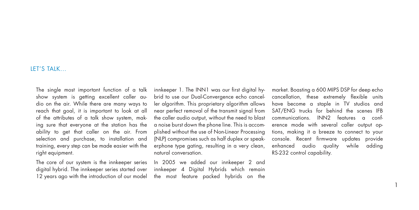## LET'S TALK...

The single most important function of a talk show system is getting excellent caller audio on the air. While there are many ways to reach that goal, it is important to look at all of the attributes of a talk show system, making sure that everyone at the station has the ability to get that caller on the air. From selection and purchase, to installation and training, every step can be made easier with the right equipment.

The core of our system is the innkeeper series digital hybrid. The innkeeper series started over 12 years ago with the introduction of our model

innkeeper 1. The INN1 was our first digital hybrid to use our Dual-Convergence echo canceller algorithm. This proprietary algorithm allows near perfect removal of the transmit signal from the caller audio output, without the need to blast a noise burst down the phone line. This is accomplished without the use of Non-Linear Processing (NLP) compromises such as half duplex or speakerphone type gating, resulting in a very clean, natural conversation.

In 2005 we added our innkeeper 2 and innkeeper 4 Digital Hybrids which remain the most feature packed hybrids on the

market. Boasting a 600 MIPS DSP for deep echo cancellation, these extremely flexible units have become a staple in TV studios and SAT/ENG trucks for behind the scenes IFB communications. INN2 features a conference mode with several caller output options, making it a breeze to connect to your console. Recent firmware updates provide enhanced audio quality while adding RS-232 control capability.

1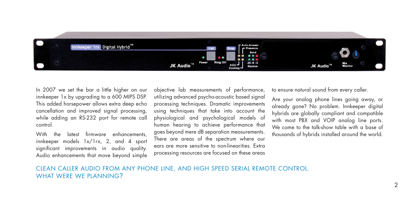

In 2007 we set the bar a little higher on our innkeeper 1x by upgrading to a 600 MIPS DSP. This added horsepower allows extra deep echo cancellation and improved signal processing, while adding an RS-232 port for remote call control.

With the latest firmware enhancements, innkeeper models 1x/1rx, 2, and 4 sport significant improvements in audio quality. Audio enhancements that move beyond simple objective lab measurements of performance, utilizing advanced psycho-acoustic based signal processing techniques. Dramatic improvements using techniques that take into account the physiological and psychological models of human hearing to achieve performance that goes beyond mere dB separation measurements. There are areas of the spectrum where our ears are more sensitive to non-linearities. Extra processing resources are focused on these areas to ensure natural sound from every caller.

Are your analog phone lines going away, or already gone? No problem. Innkeeper digital hybrids are globally compliant and compatible with most PBX and VOIP analog line ports. We come to the talk-show table with a base of thousands of hybrids installed around the world.

CLEAN CALLER AUDIO FROM ANY PHONE LINE, AND HIGH SPEED SERIAL REMOTE CONTROL. WHAT WERE WE PLANNING?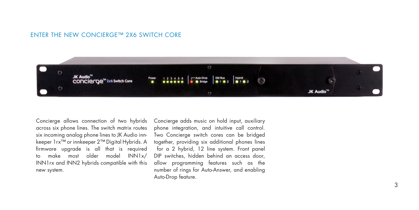## ENTER THE NEW CONCIERGE™ 2X6 SWITCH CORE



Concierge allows connection of two hybrids across six phone lines. The switch matrix routes six incoming analog phone lines to JK Audio innkeeper 1rx™ or innkeeper 2™ Digital Hybrids. A firmware upgrade is all that is required to make most older model INN1x/ INN1rx and INN2 hybrids compatible with this new system.

Concierge adds music on hold input, auxiliary phone integration, and intuitive call control. Two Concierge switch cores can be bridged together, providing six additional phones lines for a 2 hybrid, 12 line system. Front panel DIP switches, hidden behind an access door, allow programming features such as the number of rings for Auto-Answer, and enabling Auto-Drop feature.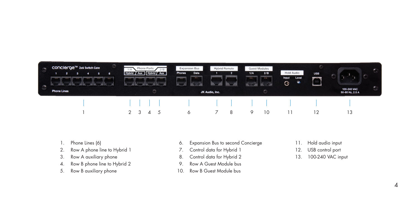|  | CONCİ@rQ@™ 2x6 Switch Core | Phone Ports<br>1/A<br>2/B<br>Hybrid / Aux<br>Hybrid / Aux<br>________ | <b>Expansion Bus</b><br><b>Hybrid Remote</b><br>Data<br><b>Phones</b><br>$\overline{2}$<br>1.111<br>$-1111$ | <b>Guest Modules</b><br>1/A<br>2/B<br>$-1111$<br>1.1.1<br>1991 | Hold Audio<br>Input<br>Level<br>$\mathbf C$ | <b>USB</b> |                                                  |
|--|----------------------------|-----------------------------------------------------------------------|-------------------------------------------------------------------------------------------------------------|----------------------------------------------------------------|---------------------------------------------|------------|--------------------------------------------------|
|  | <b>Phone Lines</b>         |                                                                       | JK Audio, Inc.                                                                                              |                                                                |                                             |            | $\blacksquare$<br>100-240 VAC<br>50-60 Hz, 2.5 A |
|  |                            |                                                                       |                                                                                                             |                                                                |                                             |            |                                                  |
|  |                            |                                                                       | 8<br>Ó                                                                                                      | 10                                                             |                                             |            | ا 3                                              |

- 1. Phone Lines (6)
- 2. Row A phone line to Hybrid 1
- 3. Row A auxiliary phone
- 4. Row B phone line to Hybrid 2
- 5. Row B auxiliary phone
- 6. Expansion Bus to second Concierge
- 7. Control data for Hybrid 1
- 8. Control data for Hybrid 2
- 9. Row A Guest Module bus
- 10. Row B Guest Module bus
- 11. Hold audio input
- 12. USB control port
- 13. 100-240 VAC input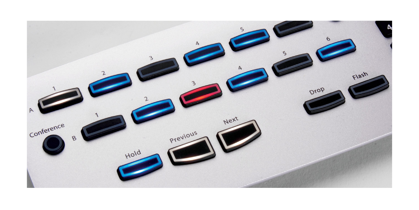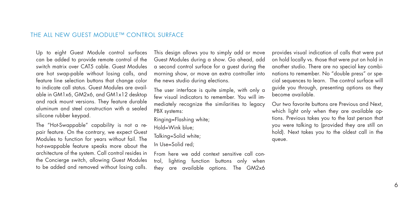## THE ALL NEW GUEST MODULE™ CONTROL SURFACE

Up to eight Guest Module control surfaces can be added to provide remote control of the switch matrix over CAT5 cable. Guest Modules are hot swap-pable without losing calls, and feature line selection buttons that change color to indicate call status. Guest Modules are available in GM1x6, GM2x6, and GM1x12 desktop and rack mount versions. They feature durable aluminum and steel construction with a sealed silicone rubber keypad.

The "Hot-Swappable" capability is not a repair feature. On the contrary, we expect Guest Modules to function for years without fail. The hot-swappable feature speaks more about the architecture of the system. Call control resides in the Concierge switch, allowing Guest Modules to be added and removed without losing calls.

This design allows you to simply add or move Guest Modules during a show. Go ahead, add a second control surface for a guest during the morning show, or move an extra controller into the news studio during elections.

The user interface is quite simple, with only a few visual indicators to remember. You will immediately recognize the similarities to legacy PBX systems:

Ringing=Flashing white;

Hold=Wink blue;

Talking=Solid white;

In Use=Solid red;

From here we add context sensitive call control, lighting function buttons only when they are available options. The GM2x6

provides visual indication of calls that were put on hold locally vs. those that were put on hold in another studio. There are no special key combinations to remember. No "double press" or special sequences to learn. The control surface will guide you through, presenting options as they become available.

Our two favorite buttons are Previous and Next, which light only when they are available options. Previous takes you to the last person that you were talking to (provided they are still on hold). Next takes you to the oldest call in the queue.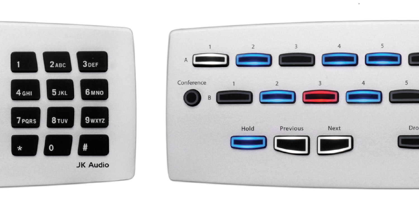



 $\mathbf{r}$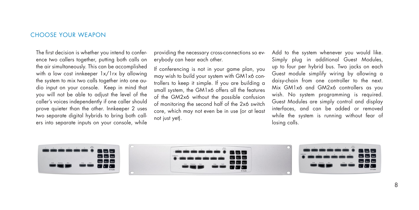## CHOOSE YOUR WEAPON

The first decision is whether you intend to conference two callers together, putting both calls on the air simultaneously. This can be accomplished with a low cost innkeeper  $1x/1rx$  by allowing the system to mix two calls together into one audio input on your console. Keep in mind that you will not be able to adjust the level of the caller's voices independently if one caller should prove quieter than the other. Innkeeper 2 uses two separate digital hybrids to bring both callers into separate inputs on your console, while

providing the necessary cross-connections so everybody can hear each other.

If conferencing is not in your game plan, you may wish to build your system with GM1x6 controllers to keep it simple. If you are building a small system, the GM1x6 offers all the features of the GM2x6 without the possible confusion of monitoring the second half of the 2x6 switch core, which may not even be in use (or at least not just yet).

Add to the system whenever you would like. Simply plug in additional Guest Modules, up to four per hybrid bus. Two jacks on each Guest module simplify wiring by allowing a daisy-chain from one controller to the next. Mix GM1x6 and GM2x6 controllers as you wish. No system programming is required. Guest Modules are simply control and display interfaces, and can be added or removed while the system is running without fear of losing calls.

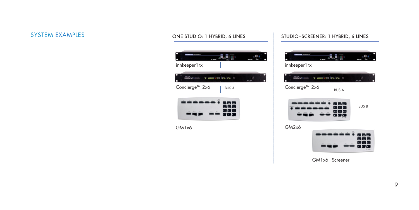



## SYSTEM EXAMPLES ONE STUDIO: 1 HYBRID, 6 LINES STUDIO+SCREENER: 1 HYBRID, 6 LINES



GM1x6 Screener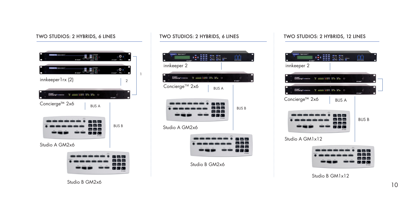## TWO STUDIOS: 2 HYBRIDS, 6 LINES



# Data Hond **GHEER** m innkeeper 2 Concerne T HILL FR FL O Concierge™ 2x6 BUS A  $240$  $\overline{a}$ BUS B **Bang The Tour** 80 M M Studio A GM2x6  $\blacksquare$ Studio B GM2x6

### TWO STUDIOS: 2 HYBRIDS, 6 LINES TWO STUDIOS: 2 HYBRIDS, 12 LINES



Studio B GM2x6